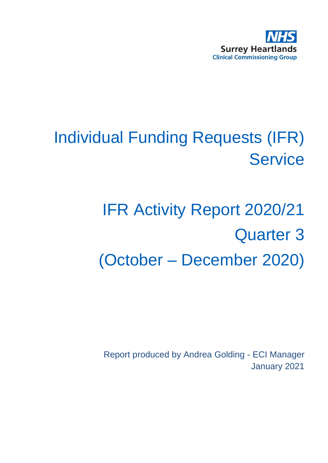

# Individual Funding Requests (IFR) **Service**

# IFR Activity Report 2020/21 Quarter 3 (October – December 2020)

Report produced by Andrea Golding - ECI Manager January 2021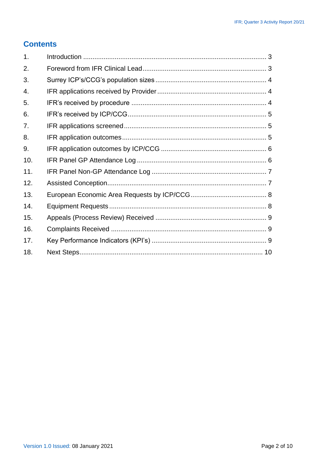#### **Contents**

| 1 <sub>1</sub> |  |
|----------------|--|
| 2.             |  |
| 3.             |  |
| 4.             |  |
| 5.             |  |
| 6.             |  |
| 7.             |  |
| 8.             |  |
| 9.             |  |
| 10.            |  |
| 11.            |  |
| 12.            |  |
| 13.            |  |
| 14.            |  |
| 15.            |  |
| 16.            |  |
| 17.            |  |
| 18.            |  |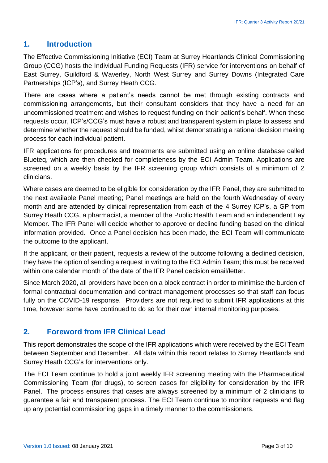#### <span id="page-2-0"></span>**1. Introduction**

The Effective Commissioning Initiative (ECI) Team at Surrey Heartlands Clinical Commissioning Group (CCG) hosts the Individual Funding Requests (IFR) service for interventions on behalf of East Surrey, Guildford & Waverley, North West Surrey and Surrey Downs (Integrated Care Partnerships (ICP's), and Surrey Heath CCG.

There are cases where a patient's needs cannot be met through existing contracts and commissioning arrangements, but their consultant considers that they have a need for an uncommissioned treatment and wishes to request funding on their patient's behalf. When these requests occur, ICP's/CCG's must have a robust and transparent system in place to assess and determine whether the request should be funded, whilst demonstrating a rational decision making process for each individual patient.

IFR applications for procedures and treatments are submitted using an online database called Blueteq, which are then checked for completeness by the ECI Admin Team. Applications are screened on a weekly basis by the IFR screening group which consists of a minimum of 2 clinicians.

Where cases are deemed to be eligible for consideration by the IFR Panel, they are submitted to the next available Panel meeting; Panel meetings are held on the fourth Wednesday of every month and are attended by clinical representation from each of the 4 Surrey ICP's, a GP from Surrey Heath CCG, a pharmacist, a member of the Public Health Team and an independent Lay Member. The IFR Panel will decide whether to approve or decline funding based on the clinical information provided. Once a Panel decision has been made, the ECI Team will communicate the outcome to the applicant.

If the applicant, or their patient, requests a review of the outcome following a declined decision, they have the option of sending a request in writing to the ECI Admin Team; this must be received within one calendar month of the date of the IFR Panel decision email/letter.

Since March 2020, all providers have been on a block contract in order to minimise the burden of formal contractual documentation and contract management processes so that staff can focus fully on the COVID-19 response. Providers are not required to submit IFR applications at this time, however some have continued to do so for their own internal monitoring purposes.

#### <span id="page-2-1"></span>**2. Foreword from IFR Clinical Lead**

This report demonstrates the scope of the IFR applications which were received by the ECI Team between September and December. All data within this report relates to Surrey Heartlands and Surrey Heath CCG's for interventions only.

The ECI Team continue to hold a joint weekly IFR screening meeting with the Pharmaceutical Commissioning Team (for drugs), to screen cases for eligibility for consideration by the IFR Panel. The process ensures that cases are always screened by a minimum of 2 clinicians to guarantee a fair and transparent process. The ECI Team continue to monitor requests and flag up any potential commissioning gaps in a timely manner to the commissioners.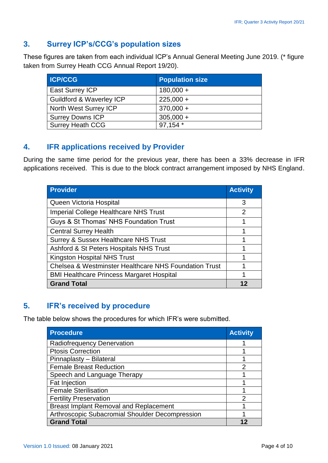# <span id="page-3-0"></span>**3. Surrey ICP's/CCG's population sizes**

These figures are taken from each individual ICP's Annual General Meeting June 2019. (\* figure taken from Surrey Heath CCG Annual Report 19/20).

| <b>ICP/CCG</b>                      | <b>Population size</b> |
|-------------------------------------|------------------------|
| <b>East Surrey ICP</b>              | $180,000 +$            |
| <b>Guildford &amp; Waverley ICP</b> | $225,000 +$            |
| North West Surrey ICP               | $370,000 +$            |
| <b>Surrey Downs ICP</b>             | $305,000 +$            |
| <b>Surrey Heath CCG</b>             | 97,154 *               |

#### <span id="page-3-1"></span>**4. IFR applications received by Provider**

During the same time period for the previous year, there has been a 33% decrease in IFR applications received. This is due to the block contract arrangement imposed by NHS England.

| <b>Provider</b>                                       | <b>Activity</b> |
|-------------------------------------------------------|-----------------|
| Queen Victoria Hospital                               | 3               |
| <b>Imperial College Healthcare NHS Trust</b>          | 2               |
| Guys & St Thomas' NHS Foundation Trust                | 1               |
| <b>Central Surrey Health</b>                          |                 |
| <b>Surrey &amp; Sussex Healthcare NHS Trust</b>       |                 |
| Ashford & St Peters Hospitals NHS Trust               |                 |
| Kingston Hospital NHS Trust                           |                 |
| Chelsea & Westminster Healthcare NHS Foundation Trust |                 |
| <b>BMI Healthcare Princess Margaret Hospital</b>      | 1               |
| <b>Grand Total</b>                                    |                 |

# <span id="page-3-2"></span>**5. IFR's received by procedure**

The table below shows the procedures for which IFR's were submitted.

| <b>Procedure</b>                                       | <b>Activity</b> |
|--------------------------------------------------------|-----------------|
| Radiofrequency Denervation                             |                 |
| <b>Ptosis Correction</b>                               |                 |
| Pinnaplasty - Bilateral                                |                 |
| <b>Female Breast Reduction</b>                         | $\overline{2}$  |
| Speech and Language Therapy                            | 1               |
| <b>Fat Injection</b>                                   |                 |
| <b>Female Sterilisation</b>                            |                 |
| <b>Fertility Preservation</b>                          | 2               |
| <b>Breast Implant Removal and Replacement</b>          |                 |
| <b>Arthroscopic Subacromial Shoulder Decompression</b> |                 |
| <b>Grand Total</b>                                     |                 |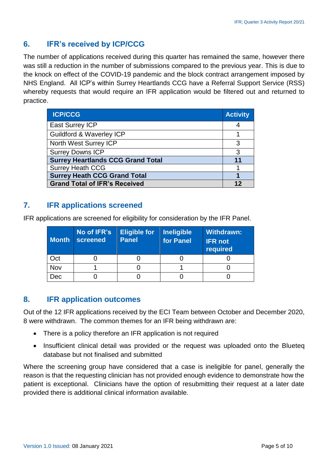## <span id="page-4-0"></span>**6. IFR's received by ICP/CCG**

The number of applications received during this quarter has remained the same, however there was still a reduction in the number of submissions compared to the previous year. This is due to the knock on effect of the COVID-19 pandemic and the block contract arrangement imposed by NHS England. All ICP's within Surrey Heartlands CCG have a Referral Support Service (RSS) whereby requests that would require an IFR application would be filtered out and returned to practice.

| <b>ICP/CCG</b>                           | <b>Activity</b> |
|------------------------------------------|-----------------|
| <b>East Surrey ICP</b>                   |                 |
| <b>Guildford &amp; Waverley ICP</b>      |                 |
| North West Surrey ICP                    | 3               |
| <b>Surrey Downs ICP</b>                  | 3               |
| <b>Surrey Heartlands CCG Grand Total</b> | 11              |
| <b>Surrey Heath CCG</b>                  |                 |
| <b>Surrey Heath CCG Grand Total</b>      |                 |
| <b>Grand Total of IFR's Received</b>     |                 |

#### <span id="page-4-1"></span>**7. IFR applications screened**

IFR applications are screened for eligibility for consideration by the IFR Panel.

| <b>Month</b> | No of IFR's<br>screened | <b>Eligible for</b><br><b>Panel</b> | <b>Ineligible</b><br>for Panel | <b>Withdrawn:</b><br><b>IFR not</b><br>required |
|--------------|-------------------------|-------------------------------------|--------------------------------|-------------------------------------------------|
| Oct          |                         |                                     |                                |                                                 |
| Nov          |                         |                                     |                                |                                                 |
| )ec          |                         |                                     |                                |                                                 |

#### <span id="page-4-2"></span>**8. IFR application outcomes**

Out of the 12 IFR applications received by the ECI Team between October and December 2020, 8 were withdrawn. The common themes for an IFR being withdrawn are:

- There is a policy therefore an IFR application is not required
- Insufficient clinical detail was provided or the request was uploaded onto the Blueteq database but not finalised and submitted

Where the screening group have considered that a case is ineligible for panel, generally the reason is that the requesting clinician has not provided enough evidence to demonstrate how the patient is exceptional. Clinicians have the option of resubmitting their request at a later date provided there is additional clinical information available.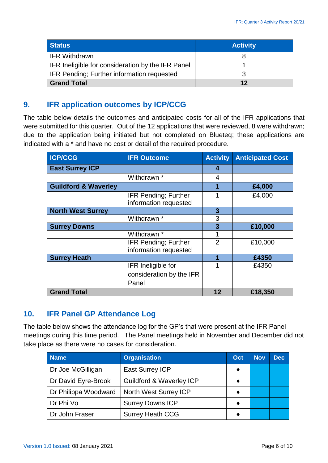| <b>Status</b>                                     | <b>Activity</b> |
|---------------------------------------------------|-----------------|
| <b>IFR Withdrawn</b>                              |                 |
| IFR Ineligible for consideration by the IFR Panel |                 |
| IFR Pending; Further information requested        |                 |
| <b>Grand Total</b>                                | 12              |

#### <span id="page-5-0"></span>**9. IFR application outcomes by ICP/CCG**

The table below details the outcomes and anticipated costs for all of the IFR applications that were submitted for this quarter. Out of the 12 applications that were reviewed, 8 were withdrawn; due to the application being initiated but not completed on Blueteq; these applications are indicated with a \* and have no cost or detail of the required procedure.

| <b>ICP/CCG</b>                  | <b>IFR Outcome</b>                                   | <b>Activity</b> | <b>Anticipated Cost</b> |
|---------------------------------|------------------------------------------------------|-----------------|-------------------------|
| <b>East Surrey ICP</b>          |                                                      | 4               |                         |
|                                 | Withdrawn *                                          | 4               |                         |
| <b>Guildford &amp; Waverley</b> |                                                      | 1               | £4,000                  |
|                                 | <b>IFR Pending; Further</b><br>information requested | 1               | £4,000                  |
| <b>North West Surrey</b>        |                                                      | 3               |                         |
|                                 | Withdrawn <sup>*</sup>                               | 3               |                         |
| <b>Surrey Downs</b>             |                                                      | 3               | £10,000                 |
|                                 | Withdrawn *                                          |                 |                         |
|                                 | <b>IFR Pending; Further</b>                          | $\overline{2}$  | £10,000                 |
|                                 | information requested                                |                 |                         |
| <b>Surrey Heath</b>             |                                                      | 1               | £4350                   |
|                                 | IFR Ineligible for                                   | 1               | £4350                   |
|                                 | consideration by the IFR                             |                 |                         |
|                                 | Panel                                                |                 |                         |
| <b>Grand Total</b>              |                                                      | 12              | £18,350                 |

#### <span id="page-5-1"></span>**10. IFR Panel GP Attendance Log**

The table below shows the attendance log for the GP's that were present at the IFR Panel meetings during this time period. The Panel meetings held in November and December did not take place as there were no cases for consideration.

| <b>Name</b>          | <b>Organisation</b>                 | Oct | <b>Nov</b> | <b>Dec</b> |
|----------------------|-------------------------------------|-----|------------|------------|
| Dr Joe McGilligan    | <b>East Surrey ICP</b>              |     |            |            |
| Dr David Eyre-Brook  | <b>Guildford &amp; Waverley ICP</b> |     |            |            |
| Dr Philippa Woodward | North West Surrey ICP               |     |            |            |
| Dr Phi Vo            | <b>Surrey Downs ICP</b>             |     |            |            |
| Dr John Fraser       | <b>Surrey Heath CCG</b>             |     |            |            |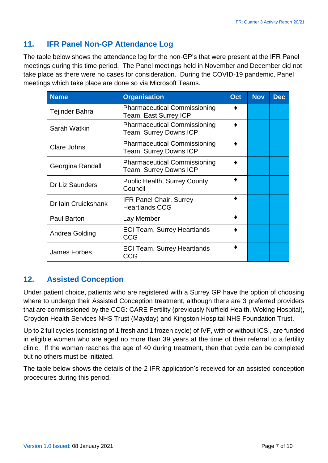# <span id="page-6-0"></span>**11. IFR Panel Non-GP Attendance Log**

The table below shows the attendance log for the non-GP's that were present at the IFR Panel meetings during this time period. The Panel meetings held in November and December did not take place as there were no cases for consideration. During the COVID-19 pandemic, Panel meetings which take place are done so via Microsoft Teams.

| <b>Name</b>         | <b>Organisation</b>                                                  | Oct | <b>Nov</b> | <b>Dec</b> |
|---------------------|----------------------------------------------------------------------|-----|------------|------------|
| Tejinder Bahra      | <b>Pharmaceutical Commissioning</b><br>Team, East Surrey ICP         |     |            |            |
| Sarah Watkin        | <b>Pharmaceutical Commissioning</b><br><b>Team, Surrey Downs ICP</b> |     |            |            |
| Clare Johns         | <b>Pharmaceutical Commissioning</b><br><b>Team, Surrey Downs ICP</b> |     |            |            |
| Georgina Randall    | <b>Pharmaceutical Commissioning</b><br><b>Team, Surrey Downs ICP</b> |     |            |            |
| Dr Liz Saunders     | <b>Public Health, Surrey County</b><br>Council                       |     |            |            |
| Dr Iain Cruickshank | <b>IFR Panel Chair, Surrey</b><br><b>Heartlands CCG</b>              |     |            |            |
| <b>Paul Barton</b>  | Lay Member                                                           |     |            |            |
| Andrea Golding      | <b>ECI Team, Surrey Heartlands</b><br><b>CCG</b>                     |     |            |            |
| <b>James Forbes</b> | <b>ECI Team, Surrey Heartlands</b><br>CCG                            |     |            |            |

#### <span id="page-6-1"></span>**12. Assisted Conception**

Under patient choice, patients who are registered with a Surrey GP have the option of choosing where to undergo their Assisted Conception treatment, although there are 3 preferred providers that are commissioned by the CCG: CARE Fertility (previously Nuffield Health, Woking Hospital), Croydon Health Services NHS Trust (Mayday) and Kingston Hospital NHS Foundation Trust.

Up to 2 full cycles (consisting of 1 fresh and 1 frozen cycle) of IVF, with or without ICSI, are funded in eligible women who are aged no more than 39 years at the time of their referral to a fertility clinic. If the woman reaches the age of 40 during treatment, then that cycle can be completed but no others must be initiated.

The table below shows the details of the 2 IFR application's received for an assisted conception procedures during this period.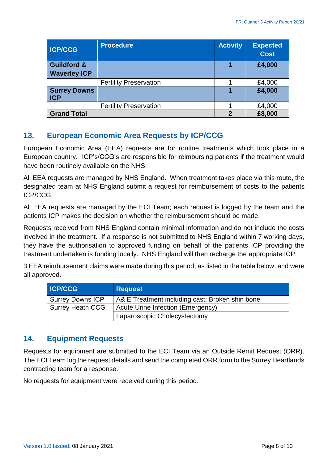| <b>ICP/CCG</b>                    | <b>Procedure</b>              | <b>Activity</b> | <b>Expected</b><br><b>Cost</b> |
|-----------------------------------|-------------------------------|-----------------|--------------------------------|
| <b>Guildford &amp;</b>            |                               | 1               | £4,000                         |
| <b>Waverley ICP</b>               |                               |                 |                                |
|                                   | <b>Fertility Preservation</b> |                 | £4,000                         |
| <b>Surrey Downs</b><br><b>ICP</b> |                               | 1               | £4,000                         |
|                                   | <b>Fertility Preservation</b> |                 | £4,000                         |
| <b>Grand Total</b>                |                               | $\overline{2}$  | £8,000                         |

#### <span id="page-7-0"></span>**13. European Economic Area Requests by ICP/CCG**

European Economic Area (EEA) requests are for routine treatments which took place in a European country. ICP's/CCG's are responsible for reimbursing patients if the treatment would have been routinely available on the NHS.

All EEA requests are managed by NHS England. When treatment takes place via this route, the designated team at NHS England submit a request for reimbursement of costs to the patients ICP/CCG.

All EEA requests are managed by the ECI Team; each request is logged by the team and the patients ICP makes the decision on whether the reimbursement should be made.

Requests received from NHS England contain minimal information and do not include the costs involved in the treatment. If a response is not submitted to NHS England within 7 working days, they have the authorisation to approved funding on behalf of the patients ICP providing the treatment undertaken is funding locally. NHS England will then recharge the appropriate ICP.

3 EEA reimbursement claims were made during this period, as listed in the table below, and were all approved.

| <b>ICP/CCG</b>          | <b>Request</b>                                  |
|-------------------------|-------------------------------------------------|
| <b>Surrey Downs ICP</b> | A& E Treatment including cast; Broken shin bone |
| <b>Surrey Heath CCG</b> | Acute Urine Infection (Emergency)               |
|                         | Laparoscopic Cholecystectomy                    |

#### <span id="page-7-1"></span>**14. Equipment Requests**

Requests for equipment are submitted to the ECI Team via an Outside Remit Request (ORR). The ECI Team log the request details and send the completed ORR form to the Surrey Heartlands contracting team for a response.

No requests for equipment were received during this period.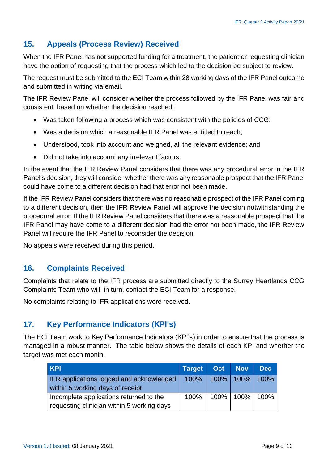# <span id="page-8-0"></span>**15. Appeals (Process Review) Received**

When the IFR Panel has not supported funding for a treatment, the patient or requesting clinician have the option of requesting that the process which led to the decision be subject to review.

The request must be submitted to the ECI Team within 28 working days of the IFR Panel outcome and submitted in writing via email.

The IFR Review Panel will consider whether the process followed by the IFR Panel was fair and consistent, based on whether the decision reached:

- Was taken following a process which was consistent with the policies of CCG;
- Was a decision which a reasonable IFR Panel was entitled to reach;
- Understood, took into account and weighed, all the relevant evidence; and
- Did not take into account any irrelevant factors.

In the event that the IFR Review Panel considers that there was any procedural error in the IFR Panel's decision, they will consider whether there was any reasonable prospect that the IFR Panel could have come to a different decision had that error not been made.

If the IFR Review Panel considers that there was no reasonable prospect of the IFR Panel coming to a different decision, then the IFR Review Panel will approve the decision notwithstanding the procedural error. If the IFR Review Panel considers that there was a reasonable prospect that the IFR Panel may have come to a different decision had the error not been made, the IFR Review Panel will require the IFR Panel to reconsider the decision.

No appeals were received during this period.

#### <span id="page-8-1"></span>**16. Complaints Received**

Complaints that relate to the IFR process are submitted directly to the Surrey Heartlands CCG Complaints Team who will, in turn, contact the ECI Team for a response.

No complaints relating to IFR applications were received.

#### <span id="page-8-2"></span>**17. Key Performance Indicators (KPI's)**

The ECI Team work to Key Performance Indicators (KPI's) in order to ensure that the process is managed in a robust manner. The table below shows the details of each KPI and whether the target was met each month.

| KPI                                                                                   | Target Oct Nov |                           | <b>Dec</b> |
|---------------------------------------------------------------------------------------|----------------|---------------------------|------------|
| <b>IFR</b> applications logged and acknowledged<br>within 5 working days of receipt   |                | 100%   100%   100%   100% |            |
| Incomplete applications returned to the<br>requesting clinician within 5 working days | 100%           | $ 100\% 100\% 100\%$      |            |